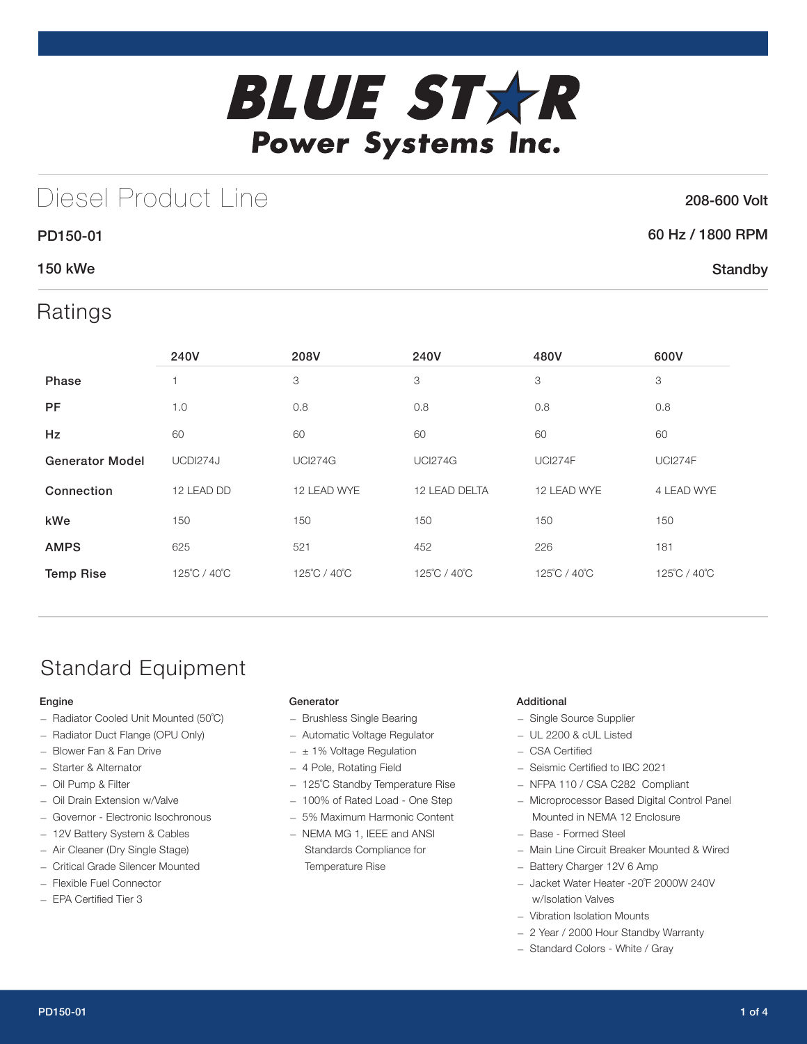

## Diesel Product Line

### 208-600 Volt

**Standby** 

# 60 Hz / 1800 RPM

### 150 kWe

PD150-01

### Ratings

|                        | 240V         | 208V           | 240V           | 480V           | 600V           |
|------------------------|--------------|----------------|----------------|----------------|----------------|
| Phase                  |              | 3              | 3              | 3              | 3              |
| <b>PF</b>              | 1.0          | 0.8            | 0.8            | 0.8            | 0.8            |
| <b>Hz</b>              | 60           | 60             | 60             | 60             | 60             |
| <b>Generator Model</b> | UCDI274J     | <b>UCI274G</b> | <b>UCI274G</b> | <b>UCI274F</b> | <b>UCI274F</b> |
| Connection             | 12 LEAD DD   | 12 LEAD WYE    | 12 LEAD DELTA  | 12 LEAD WYE    | 4 LEAD WYE     |
| kWe                    | 150          | 150            | 150            | 150            | 150            |
| <b>AMPS</b>            | 625          | 521            | 452            | 226            | 181            |
| <b>Temp Rise</b>       | 125°C / 40°C | 125°C / 40°C   | 125°C / 40°C   | 125°C / 40°C   | 125°C / 40°C   |

## Standard Equipment

### Engine

- Radiator Cooled Unit Mounted (50˚C)
- Radiator Duct Flange (OPU Only)
- Blower Fan & Fan Drive
- Starter & Alternator
- Oil Pump & Filter
- Oil Drain Extension w/Valve
- Governor Electronic Isochronous
- 12V Battery System & Cables
- Air Cleaner (Dry Single Stage)
- Critical Grade Silencer Mounted
- Flexible Fuel Connector
- EPA Certified Tier 3

### Generator

- Brushless Single Bearing
- Automatic Voltage Regulator
- $\pm$  1% Voltage Regulation
- 4 Pole, Rotating Field
- 125˚C Standby Temperature Rise
- 100% of Rated Load One Step
- 5% Maximum Harmonic Content
- NEMA MG 1, IEEE and ANSI Standards Compliance for Temperature Rise

### Additional

- Single Source Supplier
- UL 2200 & cUL Listed
- CSA Certified
- Seismic Certified to IBC 2021
- NFPA 110 / CSA C282 Compliant
- Microprocessor Based Digital Control Panel Mounted in NEMA 12 Enclosure
- Base Formed Steel
- Main Line Circuit Breaker Mounted & Wired
- Battery Charger 12V 6 Amp
- Jacket Water Heater -20˚F 2000W 240V w/Isolation Valves
- Vibration Isolation Mounts
- 2 Year / 2000 Hour Standby Warranty
- Standard Colors White / Gray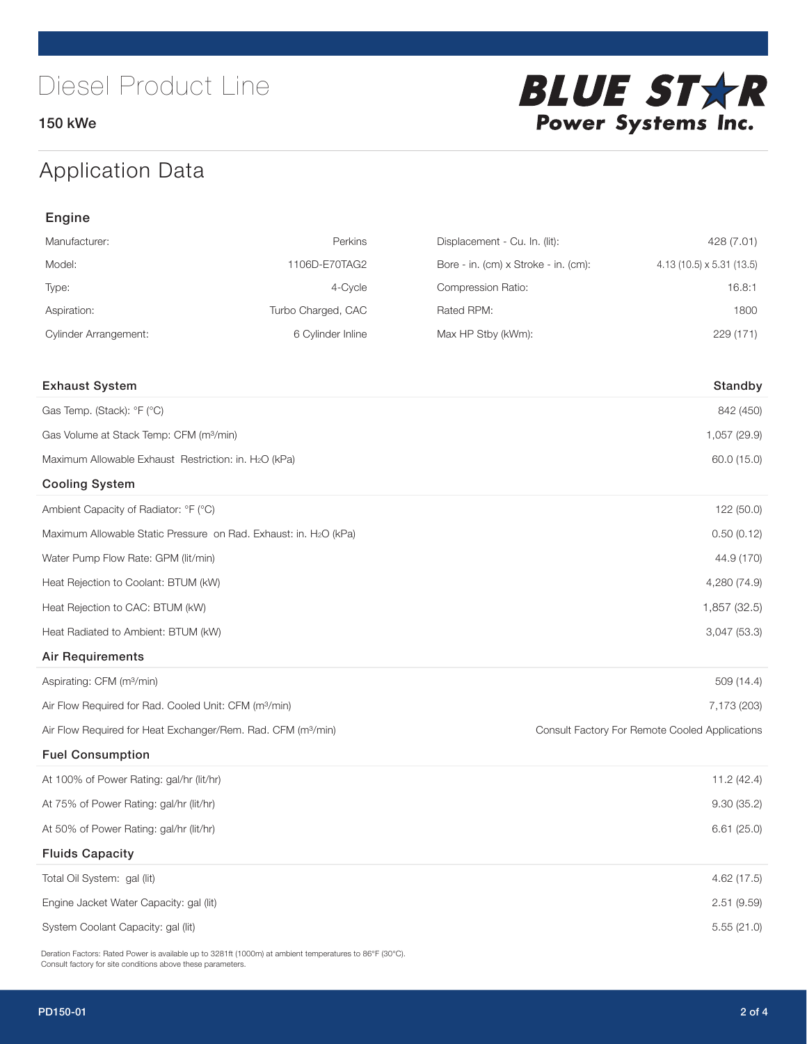150 kWe



## Application Data

| Engine                                                                   |                    |                                      |                                                |  |  |
|--------------------------------------------------------------------------|--------------------|--------------------------------------|------------------------------------------------|--|--|
| Manufacturer:                                                            | Perkins            | Displacement - Cu. In. (lit):        | 428 (7.01)                                     |  |  |
| Model:                                                                   | 1106D-E70TAG2      | Bore - in. (cm) x Stroke - in. (cm): | 4.13 (10.5) x 5.31 (13.5)                      |  |  |
| Type:                                                                    | 4-Cycle            | Compression Ratio:                   | 16.8:1                                         |  |  |
| Aspiration:                                                              | Turbo Charged, CAC | Rated RPM:                           | 1800                                           |  |  |
| <b>Cylinder Arrangement:</b>                                             | 6 Cylinder Inline  | Max HP Stby (kWm):                   | 229 (171)                                      |  |  |
| <b>Exhaust System</b>                                                    |                    |                                      | Standby                                        |  |  |
| Gas Temp. (Stack): °F (°C)                                               |                    |                                      | 842 (450)                                      |  |  |
| Gas Volume at Stack Temp: CFM (m <sup>3</sup> /min)                      |                    |                                      | 1,057 (29.9)                                   |  |  |
| Maximum Allowable Exhaust Restriction: in. H2O (kPa)                     |                    |                                      | 60.0 (15.0)                                    |  |  |
| <b>Cooling System</b>                                                    |                    |                                      |                                                |  |  |
| Ambient Capacity of Radiator: °F (°C)                                    |                    |                                      | 122 (50.0)                                     |  |  |
| Maximum Allowable Static Pressure on Rad. Exhaust: in. H2O (kPa)         |                    |                                      | 0.50(0.12)                                     |  |  |
| Water Pump Flow Rate: GPM (lit/min)                                      |                    |                                      | 44.9 (170)                                     |  |  |
| Heat Rejection to Coolant: BTUM (kW)                                     |                    |                                      | 4,280 (74.9)                                   |  |  |
| Heat Rejection to CAC: BTUM (kW)                                         |                    |                                      | 1,857 (32.5)                                   |  |  |
| Heat Radiated to Ambient: BTUM (kW)                                      |                    |                                      | 3,047 (53.3)                                   |  |  |
| <b>Air Requirements</b>                                                  |                    |                                      |                                                |  |  |
| Aspirating: CFM (m <sup>3</sup> /min)                                    |                    |                                      | 509 (14.4)                                     |  |  |
| Air Flow Required for Rad. Cooled Unit: CFM (m <sup>3</sup> /min)        |                    |                                      | 7,173 (203)                                    |  |  |
| Air Flow Required for Heat Exchanger/Rem. Rad. CFM (m <sup>3</sup> /min) |                    |                                      | Consult Factory For Remote Cooled Applications |  |  |
| <b>Fuel Consumption</b>                                                  |                    |                                      |                                                |  |  |
| At 100% of Power Rating: gal/hr (lit/hr)                                 |                    |                                      | 11.2 (42.4)                                    |  |  |
| At 75% of Power Rating: gal/hr (lit/hr)                                  |                    |                                      | 9.30(35.2)                                     |  |  |
| At 50% of Power Rating: gal/hr (lit/hr)                                  |                    |                                      | 6.61(25.0)                                     |  |  |
| <b>Fluids Capacity</b>                                                   |                    |                                      |                                                |  |  |
| Total Oil System: gal (lit)                                              |                    |                                      | 4.62 (17.5)                                    |  |  |
| Engine Jacket Water Capacity: gal (lit)                                  |                    |                                      | 2.51(9.59)                                     |  |  |
| System Coolant Capacity: gal (lit)                                       |                    |                                      | 5.55(21.0)                                     |  |  |

Deration Factors: Rated Power is available up to 3281ft (1000m) at ambient temperatures to 86°F (30°C). Consult factory for site conditions above these parameters.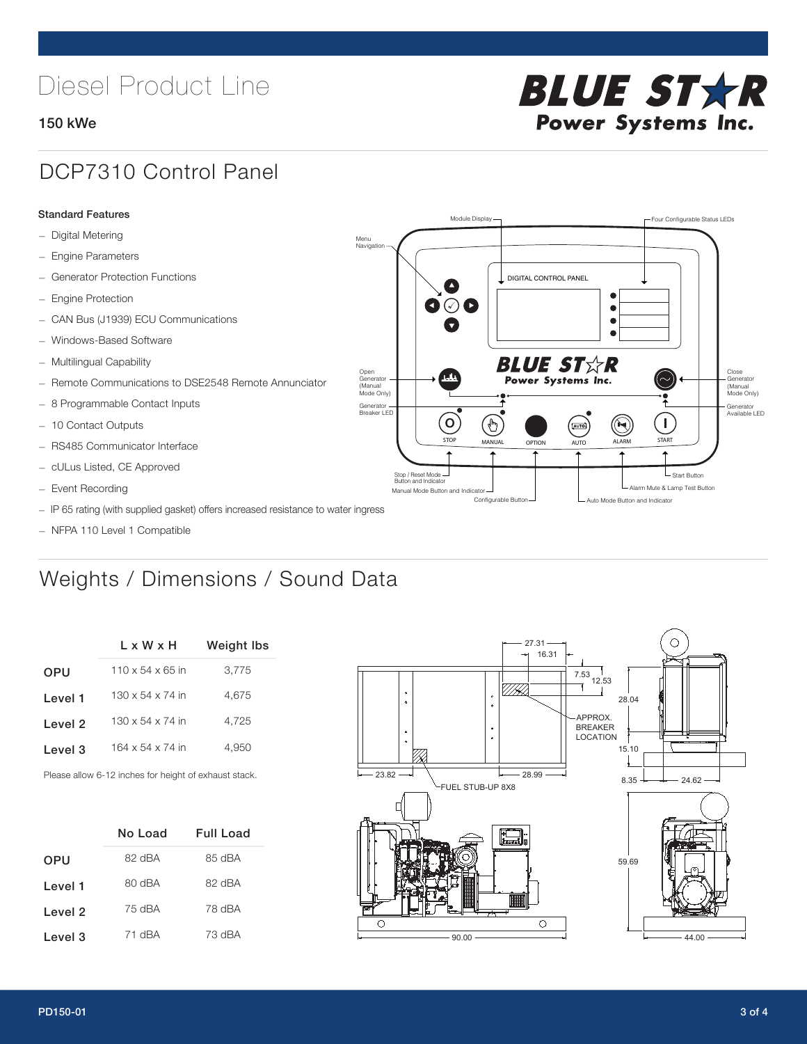# Diesel Product Line

### 150 kWe



## DCP7310 Control Panel

#### Standard Features

- Digital Metering
- Engine Parameters
- Generator Protection Functions
- Engine Protection
- CAN Bus (J1939) ECU Communications
- Windows-Based Software
- Multilingual Capability
- Remote Communications to DSE2548 Remote Annunciator
- 8 Programmable Contact Inputs
- 10 Contact Outputs
- RS485 Communicator Interface
- cULus Listed, CE Approved
- Event Recording
- IP 65 rating (with supplied gasket) offers increased resistance to water ingress
- NFPA 110 Level 1 Compatible

## Weights / Dimensions / Sound Data

|            | L x W x H                    | <b>Weight lbs</b> |  |  |
|------------|------------------------------|-------------------|--|--|
| <b>OPU</b> | $110 \times 54 \times 65$ in | 3,775             |  |  |
| Level 1    | $130 \times 54 \times 74$ in | 4.675             |  |  |
| Level 2    | $130 \times 54 \times 74$ in | 4.725             |  |  |
| Level 3    | 164 x 54 x 74 in             | 4,950             |  |  |
|            |                              |                   |  |  |

Please allow 6-12 inches for height of exhaust stack.

|            | No Load     | <b>Full Load</b> |  |  |
|------------|-------------|------------------|--|--|
| <b>OPU</b> | 82 dBA      | 85 dBA           |  |  |
| Level 1    | $RO$ d $BA$ | 82 dBA           |  |  |
| Level 2    | 75 dBA      | 78 dBA           |  |  |
| Level 3    | 71 dBA      | 73 dBA           |  |  |



STOP MANUAL OPTION AUTO ALARM START

.<br>[AUTO]

**BLUE STAR** Power Systems Inc.

Manual Mode Button and Indicator United States and Indicator United States and Indicator United States and Indicator United States and Indicator United States and Indicator United States and Indicator United States and Ind Configurable Button -  $\Box$  Auto Mode Button and Indicator

DIGITAL CONTROL PANEL

Module Display  $\Box$ 

 $\bullet$  $\bullet$  $\bullet$ 

 $\circledcirc$ 

Menu Navigation

Open Generator (Manual Mode Only)

Generator Breaker LED

Stop / Reset Mode Button and Indicator

 $\bullet$  $\overline{\bullet}$ 

 $\sigma$ 

՟Պ

Close Generator (Manual Mode Only)

Generator Available LED

L Start Button

 $\blacksquare$